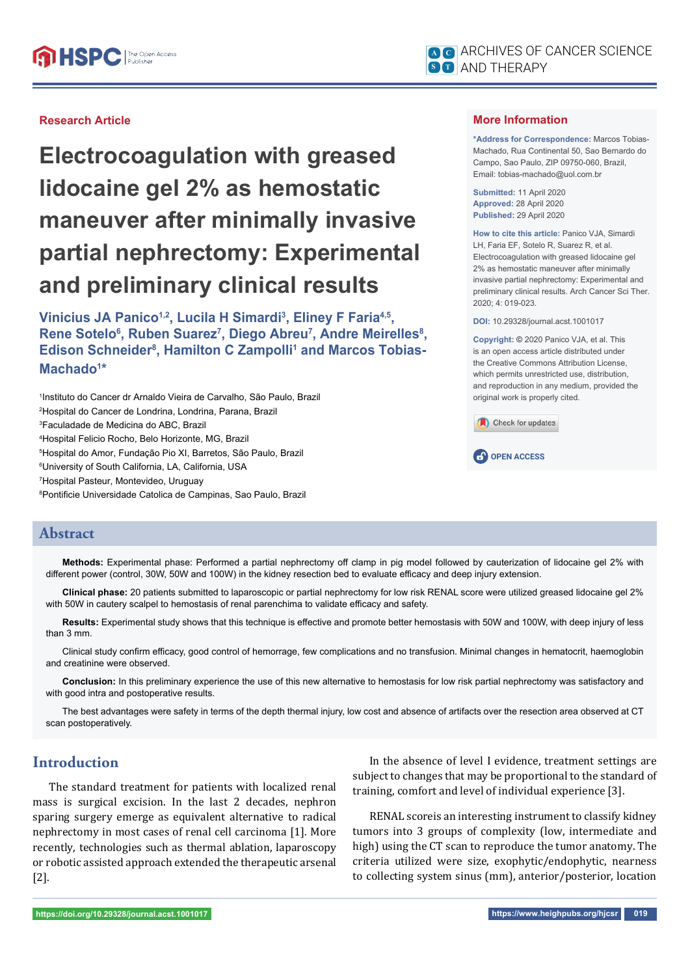## **Research Article**

**Electrocoagulation with greased lidocaine gel 2% as hemostatic maneuver after minimally invasive partial nephrectomy: Experimental and preliminary clinical results**

**Vinicius JA Panico1,2, Lucila H Simardi3 , Eliney F Faria4,5,**  Rene Sotelo<sup>6</sup>, Ruben Suarez<sup>7</sup>, Diego Abreu<sup>7</sup>, Andre Meirelles<sup>8</sup>, **Edison Schneider<sup>8</sup>, Hamilton C Zampolli<sup>1</sup> and Marcos Tobias-Machado1 \***

 Instituto do Cancer dr Arnaldo Vieira de Carvalho, São Paulo, Brazil Hospital do Cancer de Londrina, Londrina, Parana, Brazil Faculadade de Medicina do ABC, Brazil Hospital Felicio Rocho, Belo Horizonte, MG, Brazil Hospital do Amor, Fundação Pio XI, Barretos, São Paulo, Brazil University of South California, LA, California, USA Hospital Pasteur, Montevideo, Uruguay <sup>8</sup>Pontificie Universidade Catolica de Campinas, Sao Paulo, Brazil

## **More Information**

**\*Address for Correspondence:** Marcos Tobias-Machado, Rua Continental 50, Sao Bernardo do Campo, Sao Paulo, ZIP 09750-060, Brazil, Email: tobias-machado@uol.com.br

**Submitted:** 11 April 2020 **Approved:** 28 April 2020 **Published:** 29 April 2020

**How to cite this article:** Panico VJA, Simardi LH, Faria EF, Sotelo R, Suarez R, et al. Electrocoagulation with greased lidocaine gel 2% as hemostatic maneuver after minimally invasive partial nephrectomy: Experimental and preliminary clinical results. Arch Cancer Sci Ther. 2020; 4: 019-023.

**DOI:** 10.29328/journal.acst.1001017

**Copyright: ©** 2020 Panico VJA, et al. This is an open access article distributed under the Creative Commons Attribution License, which permits unrestricted use, distribution, and reproduction in any medium, provided the original work is properly cited.



**CP** OPEN ACCESS

# **Abstract**

**Methods:** Experimental phase: Performed a partial nephrectomy off clamp in pig model followed by cauterization of lidocaine gel 2% with different power (control, 30W, 50W and 100W) in the kidney resection bed to evaluate efficacy and deep injury extension.

**Clinical phase:** 20 patients submitted to laparoscopic or partial nephrectomy for low risk RENAL score were utilized greased lidocaine gel 2% with 50W in cautery scalpel to hemostasis of renal parenchima to validate efficacy and safety.

Results: Experimental study shows that this technique is effective and promote better hemostasis with 50W and 100W, with deep injury of less than 3 mm.

Clinical study confirm efficacy, good control of hemorrage, few complications and no transfusion. Minimal changes in hematocrit, haemoglobin and creatinine were observed.

**Conclusion:** In this preliminary experience the use of this new alternative to hemostasis for low risk partial nephrectomy was satisfactory and with good intra and postoperative results.

The best advantages were safety in terms of the depth thermal injury, low cost and absence of artifacts over the resection area observed at CT scan postoperatively.

# **Introduction**

The standard treatment for patients with localized renal mass is surgical excision. In the last 2 decades, nephron sparing surgery emerge as equivalent alternative to radical nephrectomy in most cases of renal cell carcinoma [1]. More recently, technologies such as thermal ablation, laparoscopy or robotic assisted approach extended the therapeutic arsenal [2].

In the absence of level I evidence, treatment settings are subject to changes that may be proportional to the standard of training, comfort and level of individual experience [3].

RENAL scoreis an interesting instrument to classify kidney tumors into 3 groups of complexity (low, intermediate and high) using the CT scan to reproduce the tumor anatomy. The criteria utilized were size, exophytic/endophytic, nearness to collecting system sinus (mm), anterior/posterior, location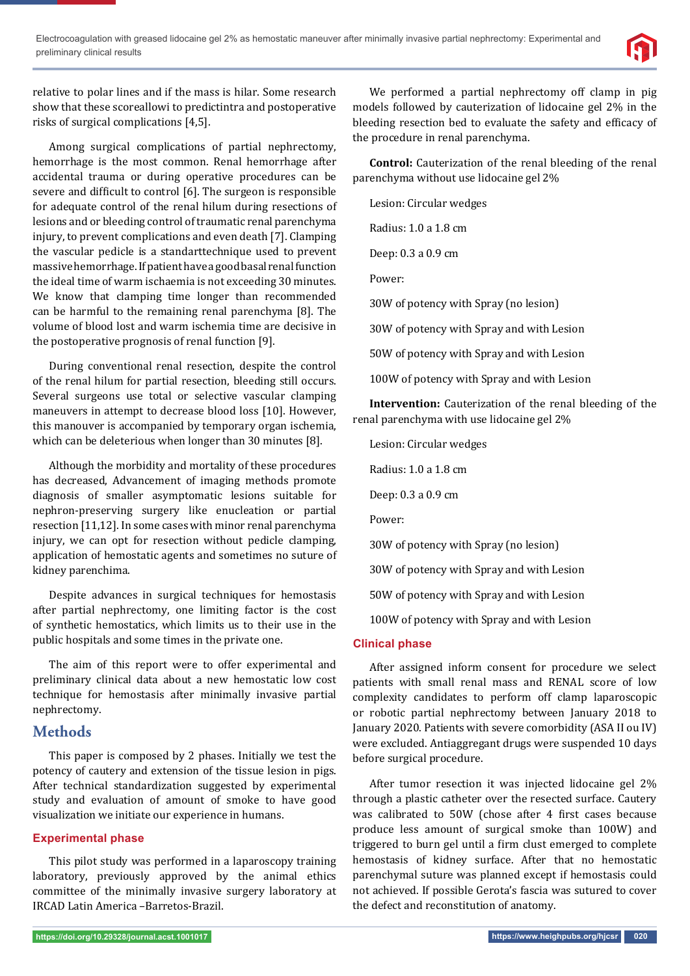

relative to polar lines and if the mass is hilar. Some research show that these scoreallowi to predictintra and postoperative risks of surgical complications [4,5].

Among surgical complications of partial nephrectomy, hemorrhage is the most common. Renal hemorrhage after accidental trauma or during operative procedures can be severe and difficult to control [6]. The surgeon is responsible for adequate control of the renal hilum during resections of lesions and or bleeding control of traumatic renal parenchyma injury, to prevent complications and even death [7]. Clamping the vascular pedicle is a standarttechnique used to prevent massive hemorrhage. If patient have a good basal renal function the ideal time of warm ischaemia is not exceeding 30 minutes. We know that clamping time longer than recommended can be harmful to the remaining renal parenchyma [8]. The volume of blood lost and warm ischemia time are decisive in the postoperative prognosis of renal function [9].

During conventional renal resection, despite the control of the renal hilum for partial resection, bleeding still occurs. Several surgeons use total or selective vascular clamping maneuvers in attempt to decrease blood loss [10]. However, this manouver is accompanied by temporary organ ischemia, which can be deleterious when longer than 30 minutes [8].

Although the morbidity and mortality of these procedures has decreased, Advancement of imaging methods promote diagnosis of smaller asymptomatic lesions suitable for nephron-preserving surgery like enucleation or partial resection [11,12]. In some cases with minor renal parenchyma injury, we can opt for resection without pedicle clamping, application of hemostatic agents and sometimes no suture of kidney parenchima.

Despite advances in surgical techniques for hemostasis after partial nephrectomy, one limiting factor is the cost of synthetic hemostatics, which limits us to their use in the public hospitals and some times in the private one.

The aim of this report were to offer experimental and preliminary clinical data about a new hemostatic low cost technique for hemostasis after minimally invasive partial nephrectomy.

# **Methods**

This paper is composed by 2 phases. Initially we test the potency of cautery and extension of the tissue lesion in pigs. After technical standardization suggested by experimental study and evaluation of amount of smoke to have good visualization we initiate our experience in humans.

## **Experimental phase**

This pilot study was performed in a laparoscopy training laboratory, previously approved by the animal ethics committee of the minimally invasive surgery laboratory at IRCAD Latin America –Barretos-Brazil.

We performed a partial nephrectomy off clamp in pig models followed by cauterization of lidocaine gel 2% in the bleeding resection bed to evaluate the safety and efficacy of the procedure in renal parenchyma.

**Control:** Cauterization of the renal bleeding of the renal parenchyma without use lidocaine gel 2%

Lesion: Circular wedges

Radius: 1.0 a 1.8 cm

Deep: 0.3 a 0.9 cm

Power:

30W of potency with Spray (no lesion)

30W of potency with Spray and with Lesion

50W of potency with Spray and with Lesion

100W of potency with Spray and with Lesion

**Intervention:** Cauterization of the renal bleeding of the renal parenchyma with use lidocaine gel 2%

Lesion: Circular wedges

Radius: 1.0 a 1.8 cm

Deep: 0.3 a 0.9 cm

Power:

30W of potency with Spray (no lesion)

30W of potency with Spray and with Lesion

50W of potency with Spray and with Lesion

100W of potency with Spray and with Lesion

## **Clinical phase**

After assigned inform consent for procedure we select patients with small renal mass and RENAL score of low complexity candidates to perform off clamp laparoscopic or robotic partial nephrectomy between January 2018 to January 2020. Patients with severe comorbidity (ASA II ou IV) were excluded. Antiaggregant drugs were suspended 10 days before surgical procedure.

After tumor resection it was injected lidocaine gel 2% through a plastic catheter over the resected surface. Cautery was calibrated to 50W (chose after 4 first cases because produce less amount of surgical smoke than 100W) and triggered to burn gel until a firm clust emerged to complete hemostasis of kidney surface. After that no hemostatic parenchymal suture was planned except if hemostasis could not achieved. If possible Gerota's fascia was sutured to cover the defect and reconstitution of anatomy.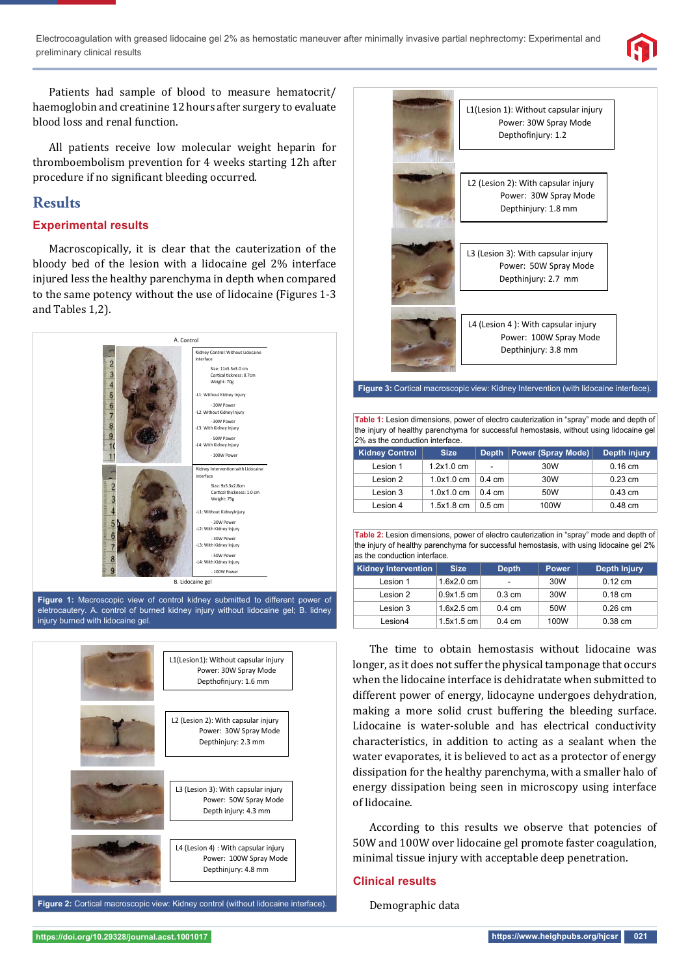

Patients had sample of blood to measure hematocrit/ haemoglobin and creatinine 12 hours after surgery to evaluate blood loss and renal function.

All patients receive low molecular weight heparin for thromboembolism prevention for 4 weeks starting 12h after procedure if no significant bleeding occurred.

# **Results**

# **Experimental results**

Macroscopically, it is clear that the cauterization of the bloody bed of the lesion with a lidocaine gel 2% interface injured less the healthy parenchyma in depth when compared to the same potency without the use of lidocaine (Figures 1-3 and Tables 1,2).



eletrocautery. A. control of burned kidney injury without lidocaine gel; B. lidney injury burned with lidocaine gel.





**Figure 3:** Cortical macroscopic view: Kidney Intervention (with lidocaine interface).

**Table 1:** Lesion dimensions, power of electro cauterization in "spray" mode and depth of the injury of healthy parenchyma for successful hemostasis, without using lidocaine gel 2% as the conduction interface.

| <b>Kidney Control</b> | <b>Size</b> | <b>Depth</b>     | <b>Power (Spray Mode)</b> | Depth injury |
|-----------------------|-------------|------------------|---------------------------|--------------|
| Lesion 1              | 1.2x1.0cm   | -                | 30W                       | $0.16$ cm    |
| Lesion 2              | 1.0x1.0cm   | $0.4 \text{ cm}$ | 30W                       | $0.23$ cm    |
| Lesion 3              | 1.0x1.0cm   | $0.4 \text{ cm}$ | 50W                       | $0.43$ cm    |
| Lesion 4              | 1.5x1.8cm   | $0.5 \text{ cm}$ | 100W                      | $0.48$ cm    |

**Table 2:** Lesion dimensions, power of electro cauterization in "spray" mode and depth of the injury of healthy parenchyma for successful hemostasis, with using lidocaine gel 2% as the conduction interface.

| <b>Kidney Intervention</b> | <b>Size</b>  | <b>Depth</b>             | <b>Power</b> | Depth Injury |
|----------------------------|--------------|--------------------------|--------------|--------------|
| Lesion 1                   | 1.6x2.0cm    | $\overline{\phantom{a}}$ | 30W          | $0.12$ cm    |
| Lesion 2                   | $0.9x1.5$ cm | $0.3 \text{ cm}$         | 30W          | $0.18$ cm    |
| Lesion 3                   | 1.6x2.5cm    | $0.4 \text{ cm}$         | 50W          | $0.26$ cm    |
| Lesion4                    | 1.5x1.5cm    | $0.4 \text{ cm}$         | 100W         | $0.38$ cm    |

The time to obtain hemostasis without lidocaine was longer, as it does not suffer the physical tamponage that occurs when the lidocaine interface is dehidratate when submitted to different power of energy, lidocayne undergoes dehydration, making a more solid crust buffering the bleeding surface. Lidocaine is water-soluble and has electrical conductivity characteristics, in addition to acting as a sealant when the water evaporates, it is believed to act as a protector of energy dissipation for the healthy parenchyma, with a smaller halo of energy dissipation being seen in microscopy using interface of lidocaine.

According to this results we observe that potencies of 50W and 100W over lidocaine gel promote faster coagulation, minimal tissue injury with acceptable deep penetration.

### **Clinical results**

Demographic data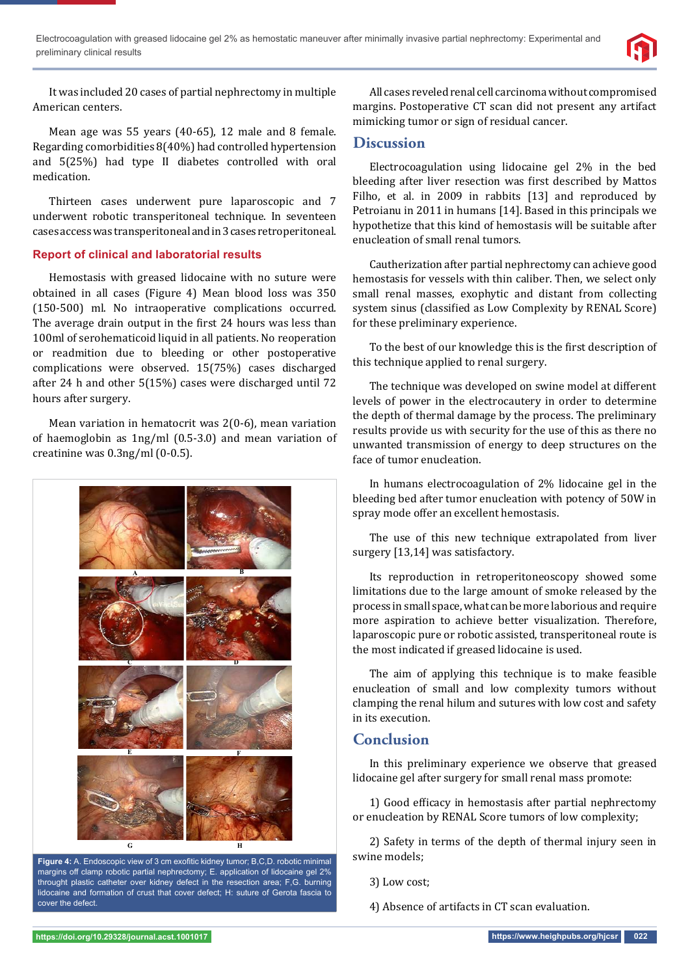

It was included 20 cases of partial nephrectomy in multiple American centers.

Mean age was 55 years (40-65), 12 male and 8 female. Regarding comorbidities 8(40%) had controlled hypertension and 5(25%) had type II diabetes controlled with oral medication.

Thirteen cases underwent pure laparoscopic and 7 underwent robotic transperitoneal technique. In seventeen cases access was transperitoneal and in 3 cases retroperitoneal.

### **Report of clinical and laboratorial results**

Hemostasis with greased lidocaine with no suture were obtained in all cases (Figure 4) Mean blood loss was 350 (150-500) ml. No intraoperative complications occurred. The average drain output in the first 24 hours was less than 100ml of serohematicoid liquid in all patients. No reoperation or readmition due to bleeding or other postoperative complications were observed. 15(75%) cases discharged after 24 h and other 5(15%) cases were discharged until 72 hours after surgery.

Mean variation in hematocrit was 2(0-6), mean variation of haemoglobin as 1ng/ml (0.5-3.0) and mean variation of creatinine was 0.3ng/ml (0-0.5).



Figure 4: A. Endoscopic view of 3 cm exofitic kidney tumor; B,C,D. robotic minimal margins off clamp robotic partial nephrectomy; E. application of lidocaine gel 2% throught plastic catheter over kidney defect in the resection area; F,G. burning lidocaine and formation of crust that cover defect; H: suture of Gerota fascia to cover the defect.

All cases reveled renal cell carcinoma without compromised margins. Postoperative CT scan did not present any artifact mimicking tumor or sign of residual cancer.

## **Discussion**

Electrocoagulation using lidocaine gel 2% in the bed bleeding after liver resection was first described by Mattos Filho, et al. in 2009 in rabbits [13] and reproduced by Petroianu in 2011 in humans [14]. Based in this principals we hypothetize that this kind of hemostasis will be suitable after enucleation of small renal tumors.

Cautherization after partial nephrectomy can achieve good hemostasis for vessels with thin caliber. Then, we select only small renal masses, exophytic and distant from collecting system sinus (classified as Low Complexity by RENAL Score) for these preliminary experience.

To the best of our knowledge this is the first description of this technique applied to renal surgery.

The technique was developed on swine model at different levels of power in the electrocautery in order to determine the depth of thermal damage by the process. The preliminary results provide us with security for the use of this as there no unwanted transmission of energy to deep structures on the face of tumor enucleation.

In humans electrocoagulation of 2% lidocaine gel in the bleeding bed after tumor enucleation with potency of 50W in spray mode offer an excellent hemostasis.

The use of this new technique extrapolated from liver surgery [13,14] was satisfactory.

Its reproduction in retroperitoneoscopy showed some limitations due to the large amount of smoke released by the process in small space, what can be more laborious and require more aspiration to achieve better visualization. Therefore, laparoscopic pure or robotic assisted, transperitoneal route is the most indicated if greased lidocaine is used.

The aim of applying this technique is to make feasible enucleation of small and low complexity tumors without clamping the renal hilum and sutures with low cost and safety in its execution.

## **Conclusion**

In this preliminary experience we observe that greased lidocaine gel after surgery for small renal mass promote:

1) Good efficacy in hemostasis after partial nephrectomy or enucleation by RENAL Score tumors of low complexity;

2) Safety in terms of the depth of thermal injury seen in swine models;

3) Low cost;

4) Absence of artifacts in CT scan evaluation.